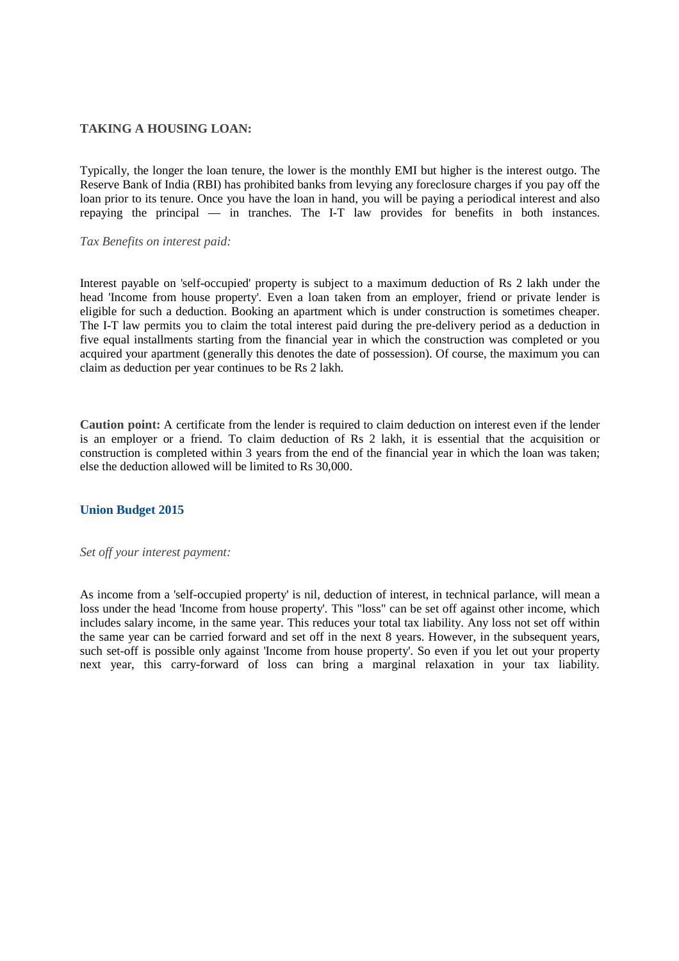## **TAKING A HOUSING LOAN:**

Typically, the longer the loan tenure, the lower is the monthly EMI but higher is the interest outgo. The Reserve Bank of India (RBI) has prohibited banks from levying any foreclosure charges if you pay off the loan prior to its tenure. Once you have the loan in hand, you will be paying a periodical interest and also repaying the principal — in tranches. The I-T law provides for benefits in both instances.

### *Tax Benefits on interest paid:*

Interest payable on 'self-occupied' property is subject to a maximum deduction of Rs 2 lakh under the head 'Income from house property'. Even a loan taken from an employer, friend or private lender is eligible for such a deduction. Booking an apartment which is under construction is sometimes cheaper. The I-T law permits you to claim the total interest paid during the pre-delivery period as a deduction in five equal installments starting from the financial year in which the construction was completed or you acquired your apartment (generally this denotes the date of possession). Of course, the maximum you can claim as deduction per year continues to be Rs 2 lakh.

**Caution point:** A certificate from the lender is required to claim deduction on interest even if the lender is an employer or a friend. To claim deduction of Rs 2 lakh, it is essential that the acquisition or construction is completed within 3 years from the end of the financial year in which the loan was taken; else the deduction allowed will be limited to Rs 30,000.

## **Union Budget 2015**

### *Set off your interest payment:*

As income from a 'self-occupied property' is nil, deduction of interest, in technical parlance, will mean a loss under the head 'Income from house property'. This "loss" can be set off against other income, which includes salary income, in the same year. This reduces your total tax liability. Any loss not set off within the same year can be carried forward and set off in the next 8 years. However, in the subsequent years, such set-off is possible only against 'Income from house property'. So even if you let out your property next year, this carry-forward of loss can bring a marginal relaxation in your tax liability.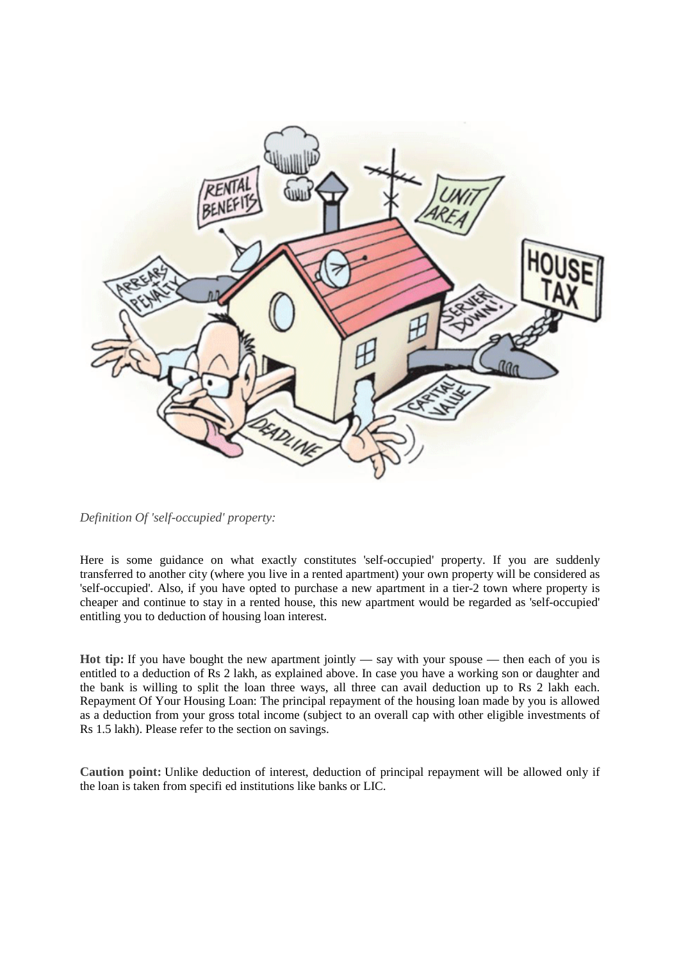

*Definition Of 'self-occupied' property:* 

Here is some guidance on what exactly constitutes 'self-occupied' property. If you are suddenly transferred to another city (where you live in a rented apartment) your own property will be considered as 'self-occupied'. Also, if you have opted to purchase a new apartment in a tier-2 town where property is cheaper and continue to stay in a rented house, this new apartment would be regarded as 'self-occupied' entitling you to deduction of housing loan interest.

**Hot tip:** If you have bought the new apartment jointly — say with your spouse — then each of you is entitled to a deduction of Rs 2 lakh, as explained above. In case you have a working son or daughter and the bank is willing to split the loan three ways, all three can avail deduction up to Rs 2 lakh each. Repayment Of Your Housing Loan: The principal repayment of the housing loan made by you is allowed as a deduction from your gross total income (subject to an overall cap with other eligible investments of Rs 1.5 lakh). Please refer to the section on savings.

**Caution point:** Unlike deduction of interest, deduction of principal repayment will be allowed only if the loan is taken from specifi ed institutions like banks or LIC.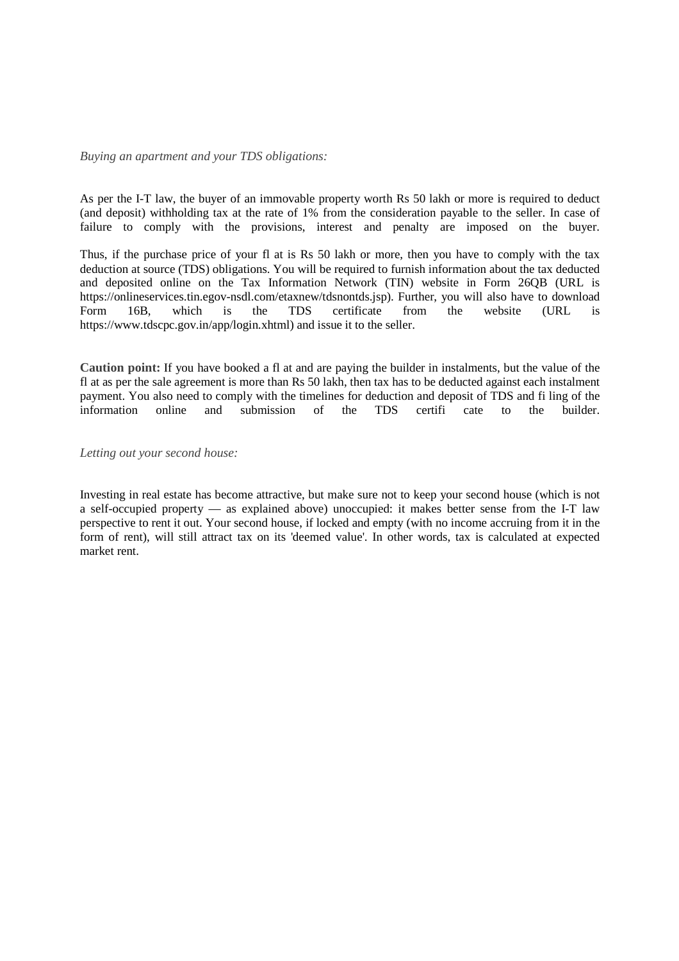*Buying an apartment and your TDS obligations:* 

As per the I-T law, the buyer of an immovable property worth Rs 50 lakh or more is required to deduct (and deposit) withholding tax at the rate of 1% from the consideration payable to the seller. In case of failure to comply with the provisions, interest and penalty are imposed on the buyer.

Thus, if the purchase price of your fl at is Rs 50 lakh or more, then you have to comply with the tax deduction at source (TDS) obligations. You will be required to furnish information about the tax deducted and deposited online on the Tax Information Network (TIN) website in Form 26QB (URL is https://onlineservices.tin.egov-nsdl.com/etaxnew/tdsnontds.jsp). Further, you will also have to download Form 16B, which is the TDS certificate from the website (URL is https://www.tdscpc.gov.in/app/login.xhtml) and issue it to the seller.

**Caution point:** If you have booked a fl at and are paying the builder in instalments, but the value of the fl at as per the sale agreement is more than Rs 50 lakh, then tax has to be deducted against each instalment payment. You also need to comply with the timelines for deduction and deposit of TDS and fi ling of the information online and submission of the TDS certifi cate to the builder.

#### *Letting out your second house:*

Investing in real estate has become attractive, but make sure not to keep your second house (which is not a self-occupied property — as explained above) unoccupied: it makes better sense from the I-T law perspective to rent it out. Your second house, if locked and empty (with no income accruing from it in the form of rent), will still attract tax on its 'deemed value'. In other words, tax is calculated at expected market rent.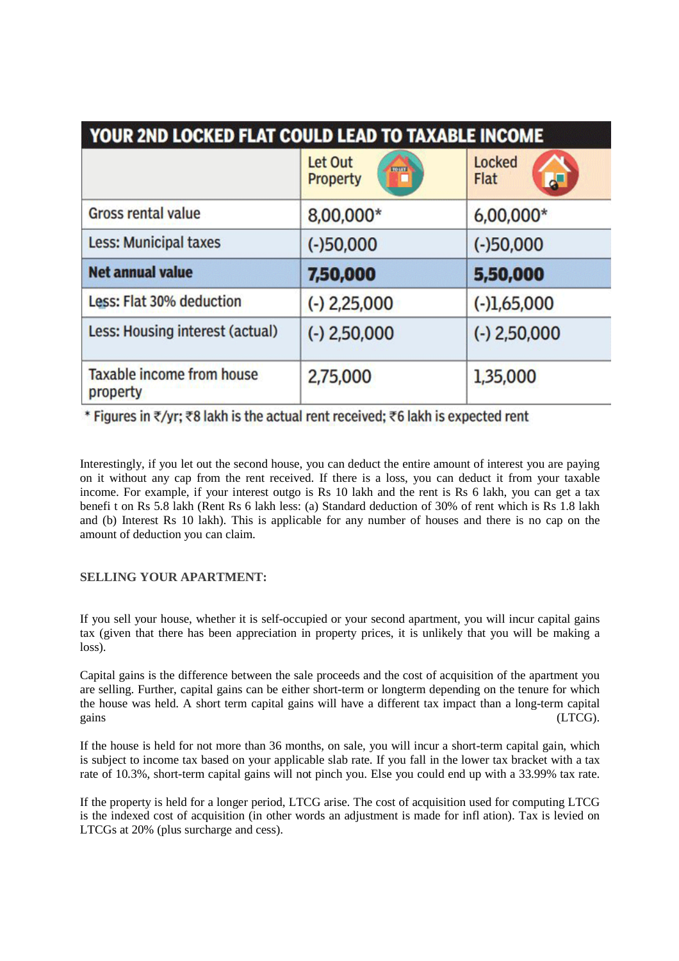| YOUR 2ND LOCKED FLAT COULD LEAD TO TAXABLE INCOME |                                      |                                           |
|---------------------------------------------------|--------------------------------------|-------------------------------------------|
|                                                   | Let Out<br><b>BOLLET</b><br>Property | <b>Locked</b><br>$\bullet$<br><b>Flat</b> |
| <b>Gross rental value</b>                         | 8,00,000*                            | 6,00,000*                                 |
| <b>Less: Municipal taxes</b>                      | $(-)50,000$                          | $(-)50,000$                               |
| <b>Net annual value</b>                           | 7,50,000                             | 5,50,000                                  |
| Less: Flat 30% deduction                          | $(-)$ 2,25,000                       | $(-)1,65,000$                             |
| Less: Housing interest (actual)                   | $(-)$ 2,50,000                       | $(-)$ 2,50,000                            |
| <b>Taxable income from house</b><br>property      | 2,75,000                             | 1,35,000                                  |

\* Figures in ₹/yr; ₹8 lakh is the actual rent received; ₹6 lakh is expected rent

Interestingly, if you let out the second house, you can deduct the entire amount of interest you are paying on it without any cap from the rent received. If there is a loss, you can deduct it from your taxable income. For example, if your interest outgo is Rs 10 lakh and the rent is Rs 6 lakh, you can get a tax benefi t on Rs 5.8 lakh (Rent Rs 6 lakh less: (a) Standard deduction of 30% of rent which is Rs 1.8 lakh and (b) Interest Rs 10 lakh). This is applicable for any number of houses and there is no cap on the amount of deduction you can claim.

# **SELLING YOUR APARTMENT:**

If you sell your house, whether it is self-occupied or your second apartment, you will incur capital gains tax (given that there has been appreciation in property prices, it is unlikely that you will be making a loss).

Capital gains is the difference between the sale proceeds and the cost of acquisition of the apartment you are selling. Further, capital gains can be either short-term or longterm depending on the tenure for which the house was held. A short term capital gains will have a different tax impact than a long-term capital gains (LTCG).

If the house is held for not more than 36 months, on sale, you will incur a short-term capital gain, which is subject to income tax based on your applicable slab rate. If you fall in the lower tax bracket with a tax rate of 10.3%, short-term capital gains will not pinch you. Else you could end up with a 33.99% tax rate.

If the property is held for a longer period, LTCG arise. The cost of acquisition used for computing LTCG is the indexed cost of acquisition (in other words an adjustment is made for infl ation). Tax is levied on LTCGs at 20% (plus surcharge and cess).